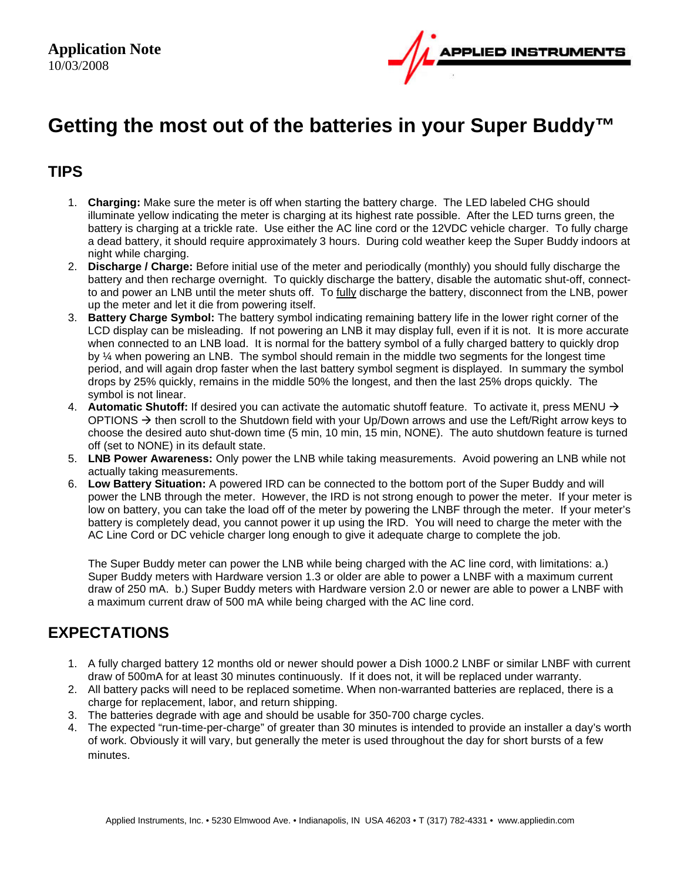

# **Getting the most out of the batteries in your Super Buddy™**

#### **TIPS**

- 1. **Charging:** Make sure the meter is off when starting the battery charge. The LED labeled CHG should illuminate yellow indicating the meter is charging at its highest rate possible. After the LED turns green, the battery is charging at a trickle rate. Use either the AC line cord or the 12VDC vehicle charger. To fully charge a dead battery, it should require approximately 3 hours. During cold weather keep the Super Buddy indoors at night while charging.
- 2. **Discharge / Charge:** Before initial use of the meter and periodically (monthly) you should fully discharge the battery and then recharge overnight. To quickly discharge the battery, disable the automatic shut-off, connectto and power an LNB until the meter shuts off. To fully discharge the battery, disconnect from the LNB, power up the meter and let it die from powering itself.
- 3. **Battery Charge Symbol:** The battery symbol indicating remaining battery life in the lower right corner of the LCD display can be misleading. If not powering an LNB it may display full, even if it is not. It is more accurate when connected to an LNB load. It is normal for the battery symbol of a fully charged battery to quickly drop by ¼ when powering an LNB. The symbol should remain in the middle two segments for the longest time period, and will again drop faster when the last battery symbol segment is displayed. In summary the symbol drops by 25% quickly, remains in the middle 50% the longest, and then the last 25% drops quickly. The symbol is not linear.
- 4. **Automatic Shutoff:** If desired you can activate the automatic shutoff feature. To activate it, press MENU  $\rightarrow$ OPTIONS  $\rightarrow$  then scroll to the Shutdown field with your Up/Down arrows and use the Left/Right arrow keys to choose the desired auto shut-down time (5 min, 10 min, 15 min, NONE). The auto shutdown feature is turned off (set to NONE) in its default state.
- 5. **LNB Power Awareness:** Only power the LNB while taking measurements. Avoid powering an LNB while not actually taking measurements.
- 6. **Low Battery Situation:** A powered IRD can be connected to the bottom port of the Super Buddy and will power the LNB through the meter. However, the IRD is not strong enough to power the meter. If your meter is low on battery, you can take the load off of the meter by powering the LNBF through the meter. If your meter's battery is completely dead, you cannot power it up using the IRD. You will need to charge the meter with the AC Line Cord or DC vehicle charger long enough to give it adequate charge to complete the job.

The Super Buddy meter can power the LNB while being charged with the AC line cord, with limitations: a.) Super Buddy meters with Hardware version 1.3 or older are able to power a LNBF with a maximum current draw of 250 mA. b.) Super Buddy meters with Hardware version 2.0 or newer are able to power a LNBF with a maximum current draw of 500 mA while being charged with the AC line cord.

### **EXPECTATIONS**

- 1. A fully charged battery 12 months old or newer should power a Dish 1000.2 LNBF or similar LNBF with current draw of 500mA for at least 30 minutes continuously. If it does not, it will be replaced under warranty.
- 2. All battery packs will need to be replaced sometime. When non-warranted batteries are replaced, there is a charge for replacement, labor, and return shipping.
- 3. The batteries degrade with age and should be usable for 350-700 charge cycles.
- 4. The expected "run-time-per-charge" of greater than 30 minutes is intended to provide an installer a day's worth of work. Obviously it will vary, but generally the meter is used throughout the day for short bursts of a few minutes.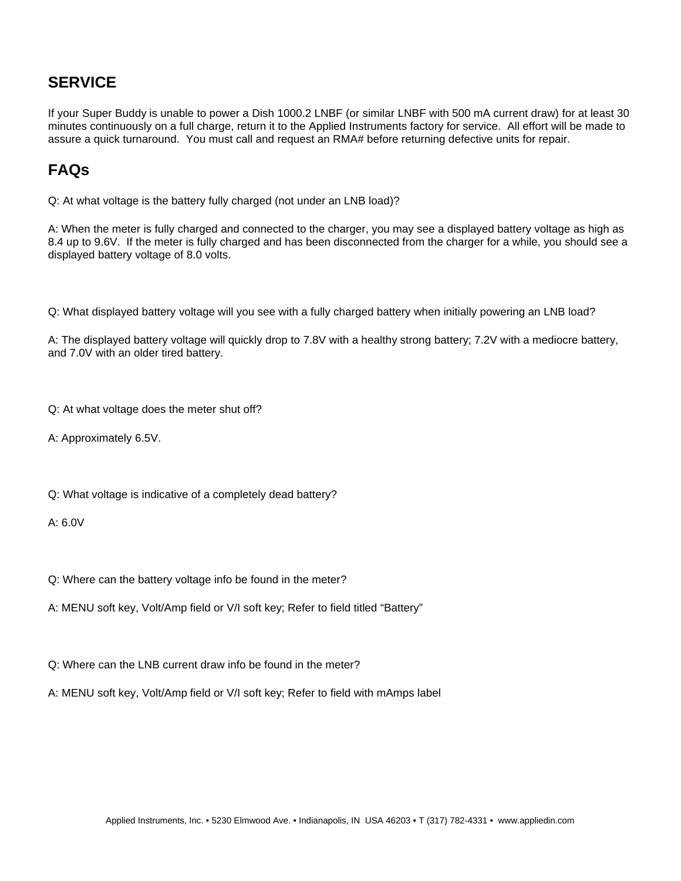# **SERVICE**

If your Super Buddy is unable to power a Dish 1000.2 LNBF (or similar LNBF with 500 mA current draw) for at least 30 minutes continuously on a full charge, return it to the Applied Instruments factory for service. All effort will be made to assure a quick turnaround. You must call and request an RMA# before returning defective units for repair.

# **FAQs**

Q: At what voltage is the battery fully charged (not under an LNB load)?

A: When the meter is fully charged and connected to the charger, you may see a displayed battery voltage as high as 8.4 up to 9.6V. If the meter is fully charged and has been disconnected from the charger for a while, you should see a displayed battery voltage of 8.0 volts.

Q: What displayed battery voltage will you see with a fully charged battery when initially powering an LNB load?

A: The displayed battery voltage will quickly drop to 7.8V with a healthy strong battery; 7.2V with a mediocre battery, and 7.0V with an older tired battery.

Q: At what voltage does the meter shut off?

A: Approximately 6.5V.

Q: What voltage is indicative of a completely dead battery?

 $A \cdot 6.0V$ 

Q: Where can the battery voltage info be found in the meter?

A: MENU soft key, Volt/Amp field or V/I soft key; Refer to field titled "Battery"

Q: Where can the LNB current draw info be found in the meter?

A: MENU soft key, Volt/Amp field or V/I soft key; Refer to field with mAmps label